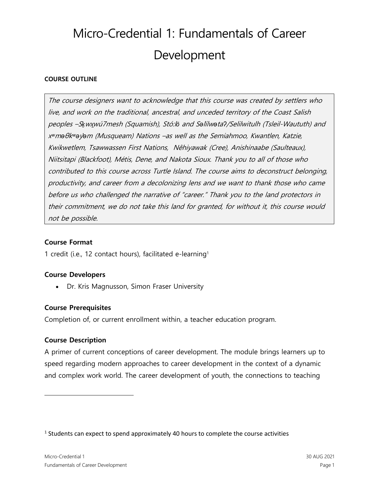# Micro-Credential 1: Fundamentals of Career Development

## **COURSE OUTLINE**

The course designers want to acknowledge that this course was created by settlers who live, and work on the traditional, ancestral, and unceded territory of the Coast Salish peoples –S*ḵ*w<sup>x</sup>*̱*wú7mesh (Squamish), Stó:l*ō* and S*ə*l*̓*ílw*ə*ta*ʔ*/Selilwitulh (Tsleil-Waututh) and <sup>x</sup>*ʷ*m*ə*θk*ʷə*y*̓ə*<sup>m</sup> (Musqueam) Nations –as well as the Semiahmoo, Kwantlen, Katzie, Kwikwetlem, Tsawwassen First Nations, Nêhiyawak (Cree), Anishinaabe (Saulteaux), Niitsitapi (Blackfoot), Métis, Dene, and Nakota Sioux. Thank you to all of those who contributed to this course across Turtle Island. The course aims to deconstruct belonging, productivity, and career from a decolonizing lens and we want to thank those who came before us who challenged the narrative of "career." Thank you to the land protectors in their commitment, we do not take this land for granted, for without it, this course would not be possible.

## **Course Format**

1 credit (i.e., 12 contact hours), facilitated e-learning<sup>1</sup>

## **Course Developers**

• Dr. Kris Magnusson, Simon Fraser University

## **Course Prerequisites**

Completion of, or current enrollment within, a teacher education program.

## **Course Description**

A primer of current conceptions of career development. The module brings learners up to speed regarding modern approaches to career development in the context of a dynamic and complex work world. The career development of youth, the connections to teaching

 $<sup>1</sup>$  Students can expect to spend approximately 40 hours to complete the course activities</sup>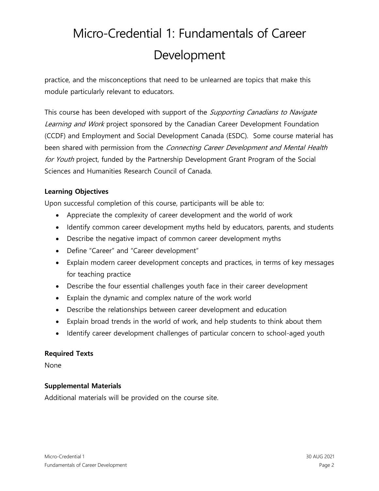## Micro-Credential 1: Fundamentals of Career Development

practice, and the misconceptions that need to be unlearned are topics that make this module particularly relevant to educators.

This course has been developed with support of the *Supporting Canadians to Navigate* Learning and Work project sponsored by the Canadian Career Development Foundation (CCDF) and Employment and Social Development Canada (ESDC). Some course material has been shared with permission from the *Connecting Career Development and Mental Health* for Youth project, funded by the Partnership Development Grant Program of the Social Sciences and Humanities Research Council of Canada.

## **Learning Objectives**

Upon successful completion of this course, participants will be able to:

- Appreciate the complexity of career development and the world of work
- Identify common career development myths held by educators, parents, and students
- Describe the negative impact of common career development myths
- Define "Career" and "Career development"
- Explain modern career development concepts and practices, in terms of key messages for teaching practice
- Describe the four essential challenges youth face in their career development
- Explain the dynamic and complex nature of the work world
- Describe the relationships between career development and education
- Explain broad trends in the world of work, and help students to think about them
- Identify career development challenges of particular concern to school-aged youth

## **Required Texts**

None

## **Supplemental Materials**

Additional materials will be provided on the course site.